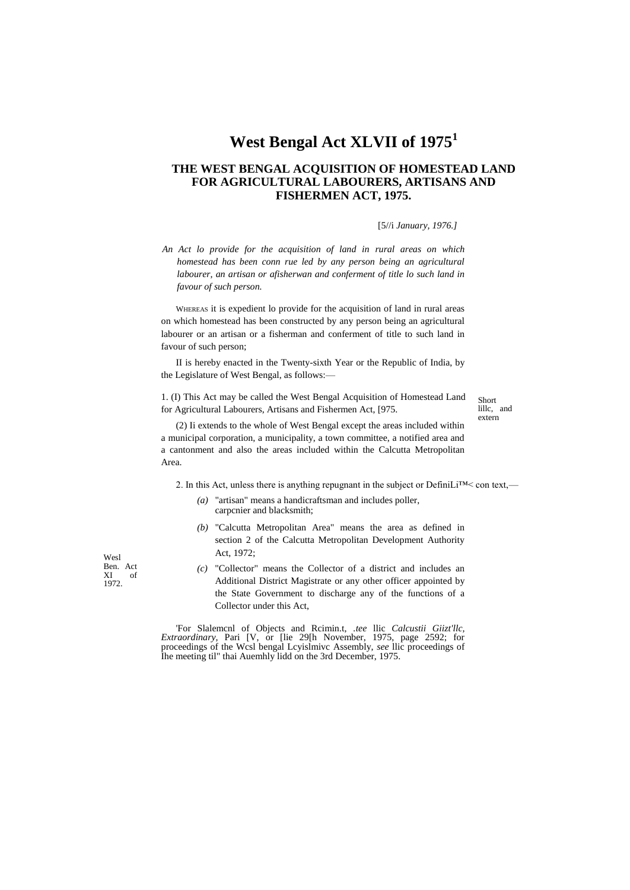# **West Bengal Act XLVII of 1975<sup>1</sup>**

## **THE WEST BENGAL ACQUISITION OF HOMESTEAD LAND FOR AGRICULTURAL LABOURERS, ARTISANS AND FISHERMEN ACT, 1975.**

[5//i *January, 1976.]*

*An Act lo provide for the acquisition of land in rural areas on which homestead has been conn rue led by any person being an agricultural labourer, an artisan or afisherwan and conferment of title lo such land in favour of such person.*

WHEREAS it is expedient lo provide for the acquisition of land in rural areas on which homestead has been constructed by any person being an agricultural labourer or an artisan or a fisherman and conferment of title to such land in favour of such person;

II is hereby enacted in the Twenty-sixth Year or the Republic of India, by the Legislature of West Bengal, as follows:—

1. (I) This Act may be called the West Bengal Acquisition of Homestead Land for Agricultural Labourers, Artisans and Fishermen Act, [975.

Short lillc, and extern

(2) Ii extends to the whole of West Bengal except the areas included within a municipal corporation, a municipality, a town committee, a notified area and a cantonment and also the areas included within the Calcutta Metropolitan Area.

2. In this Act, unless there is anything repugnant in the subject or DefiniLi<sup>TM</sup> < con text,—

- *(a)* "artisan" means a handicraftsman and includes poller, carpcnier and blacksmith;
- *(b)* "Calcutta Metropolitan Area" means the area as defined in section 2 of the Calcutta Metropolitan Development Authority Act, 1972;
- *(c)* "Collector" means the Collector of a district and includes an Additional District Magistrate or any other officer appointed by the State Government to discharge any of the functions of a Collector under this Act,

'For Slalemcnl of Objects and Rcimin.t, *.tee* llic *Calcustii Giizt'llc, Extraordinary,* Pari [V, or [lie 29[h November, 1975, page 2592; for proceedings of the Wcsl bengal Lcyislmivc Assembly, *see* llic proceedings of Ihe meeting til" thai Auemhly lidd on the 3rd December, 1975.

Wesl Ben. Act<br>XI of  $XI$ 1972.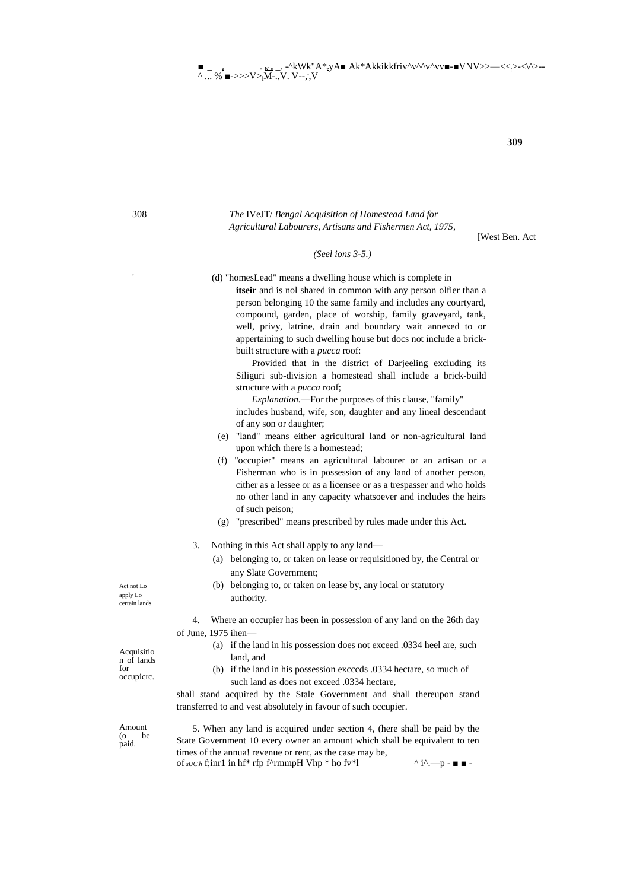$\blacksquare$ .^kWk"A\*<sub>\*</sub>yA■ Ak\*Akkikkfriv^v^^v^vv■-■VNV>>—<<:>-<\^>--^ ... % ■->>>V> $V$ ><sub>l</sub>M-.,V. V--,<sup>i</sup>,V

**309**

## 308 *The* IVeJT/ *Bengal Acquisition of Homestead Land for Agricultural Labourers, Artisans and Fishermen Act, 1975,*

[West Ben. Act

#### *(Seel ions 3-5.)*

- (d) "homesLead" means a dwelling house which is complete in
	- **itseir** and is nol shared in common with any person olfier than a person belonging 10 the same family and includes any courtyard, compound, garden, place of worship, family graveyard, tank, well, privy, latrine, drain and boundary wait annexed to or appertaining to such dwelling house but docs not include a brickbuilt structure with a *pucca* roof:

Provided that in the district of Darjeeling excluding its Siliguri sub-division a homestead shall include a brick-build structure with a *pucca* roof;

*Explanation.*—For the purposes of this clause, "family" includes husband, wife, son, daughter and any lineal descendant of any son or daughter;

- (e) "land" means either agricultural land or non-agricultural land upon which there is a homestead;
- (f) "occupier" means an agricultural labourer or an artisan or a Fisherman who is in possession of any land of another person, cither as a lessee or as a licensee or as a trespasser and who holds no other land in any capacity whatsoever and includes the heirs of such peison;
- (g) "prescribed" means prescribed by rules made under this Act.
- 3. Nothing in this Act shall apply to any land—
	- (a) belonging to, or taken on lease or requisitioned by, the Central or any Slate Government;
	- (b) belonging to, or taken on lease by, any local or statutory authority.

4. Where an occupier has been in possession of any land on the 26th day of June, 1975 ihen—

- (a) if the land in his possession does not exceed .0334 heel are, such land, and
- (b) if the land in his possession excccds .0334 hectare, so much of such land as does not exceed .0334 hectare,

shall stand acquired by the Stale Government and shall thereupon stand transferred to and vest absolutely in favour of such occupier.

5. When any land is acquired under section 4, (here shall be paid by the State Government 10 every owner an amount which shall be equivalent to ten times of the annua! revenue or rent, as the case may be, of  $\mathfrak{soch}$  f;inr1 in hf\* rfp f^rmmpH Vhp \* ho fv\*l  $\land$  i^.—p - ■ ■ -

Act not Lo apply Lo certain lands.

Acquisitio n of lands for occupicrc.

Amount (o be paid.

'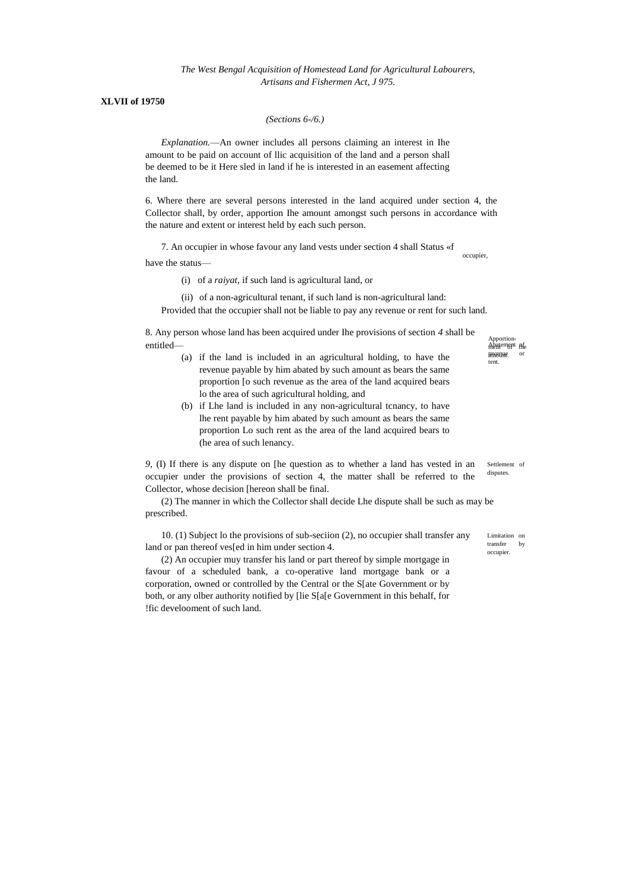*The West Bengal Acquisition of Homestead Land for Agricultural Labourers, Artisans and Fishermen Act, J 975.*

### **XLVII of 19750**

*(Sections 6-/6.)*

*Explanation.*—An owner includes all persons claiming an interest in Ihe amount to be paid on account of llic acquisition of the land and a person shall be deemed to be it Here sled in land if he is interested in an easement affecting the land.

6. Where there are several persons interested in the land acquired under section 4, the Collector shall, by order, apportion Ihe amount amongst such persons in accordance with the nature and extent or interest held by each such person.

7. An occupier in whose favour any land vests under section 4 shall Status «f occupier,

have the status—

(i) of a *raiyat,* if such land is agricultural land, or

(ii) of a non-agricultural tenant, if such land is non-agricultural land:

Provided that the occupier shall not be liable to pay any revenue or rent for such land.

8. Any person whose land has been acquired under Ihe provisions of section *4* shall be entitled—

- (a) if the land is included in an agricultural holding, to have the revenue payable by him abated by such amount as bears the same proportion [o such revenue as the area of the land acquired bears lo the area of such agricultural holding, and
- (b) if Lhe land is included in any non-agricultural tcnancy, to have lhe rent payable by him abated by such amount as bears the same proportion Lo such rent as the area of the land acquired bears to (he area of such lenancy.

Settlement of disputes. *9,* (I) If there is any dispute on [he question as to whether a land has vested in an occupier under the provisions of section 4, the matter shall be referred to the Collector, whose decision [hereon shall be final.

(2) The manner in which the Collector shall decide Lhe dispute shall be such as may be prescribed.

10. (1) Subject lo the provisions of sub-seciion (2), no occupier shall transfer any land or pan thereof ves[ed in him under section 4.

(2) An occupier muy transfer his land or part thereof by simple mortgage in favour of a scheduled bank, a co-operative land mortgage bank or a corporation, owned or controlled by the Central or the S[ate Government or by both, or any olber authority notified by [lie S[a[e Government in this behalf, for !fic develooment of such land.

Abatement afe revenue. or tent.

Apportion-

Limitation on

transfer by occupier.